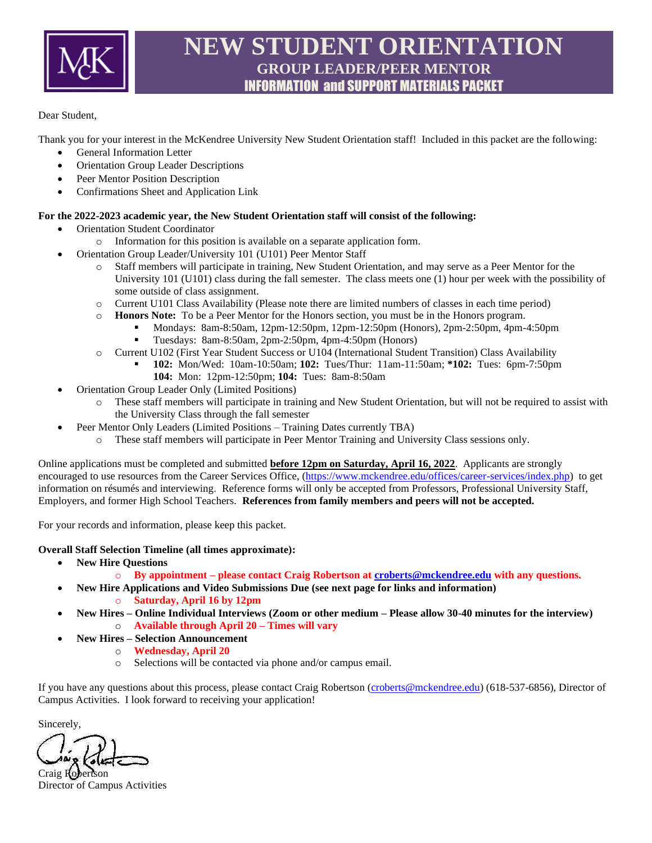

# **NEW STUDENT ORIENTATION GROUP LEADER/PEER MENTOR** INFORMATION and SUPPORT MATERIALS PACKET

#### Dear Student,

Thank you for your interest in the McKendree University New Student Orientation staff! Included in this packet are the following:

- General Information Letter
- Orientation Group Leader Descriptions
- Peer Mentor Position Description
- Confirmations Sheet and Application Link

#### **For the 2022-2023 academic year, the New Student Orientation staff will consist of the following:**

- Orientation Student Coordinator
	- o Information for this position is available on a separate application form.
- Orientation Group Leader/University 101 (U101) Peer Mentor Staff
	- o Staff members will participate in training, New Student Orientation, and may serve as a Peer Mentor for the University 101 (U101) class during the fall semester. The class meets one (1) hour per week with the possibility of some outside of class assignment.
	- o Current U101 Class Availability (Please note there are limited numbers of classes in each time period)
	- o **Honors Note:** To be a Peer Mentor for the Honors section, you must be in the Honors program.
		- **•** Mondays: 8am-8:50am, 12pm-12:50pm, 12pm-12:50pm (Honors), 2pm-2:50pm, 4pm-4:50pm<br>
		Tuesdays: 8am-8:50am, 2pm-2:50pm, 4pm-4:50pm (Honors)
			- Tuesdays: 8am-8:50am, 2pm-2:50pm, 4pm-4:50pm (Honors)
	- o Current U102 (First Year Student Success or U104 (International Student Transition) Class Availability
		- **102:** Mon/Wed: 10am-10:50am; **102:** Tues/Thur: 11am-11:50am; **\*102:** Tues: 6pm-7:50pm **104:** Mon: 12pm-12:50pm; **104:** Tues: 8am-8:50am
- Orientation Group Leader Only (Limited Positions)
	- o These staff members will participate in training and New Student Orientation, but will not be required to assist with the University Class through the fall semester
- Peer Mentor Only Leaders (Limited Positions Training Dates currently TBA)
	- o These staff members will participate in Peer Mentor Training and University Class sessions only.

Online applications must be completed and submitted **before 12pm on Saturday, April 16, 2022**. Applicants are strongly encouraged to use resources from the Career Services Office, [\(https://www.mckendree.edu/offices/career-services/index.php\)](https://www.mckendree.edu/offices/career-services/index.php) to get information on résumés and interviewing. Reference forms will only be accepted from Professors, Professional University Staff, Employers, and former High School Teachers. **References from family members and peers will not be accepted.**

For your records and information, please keep this packet.

#### **Overall Staff Selection Timeline (all times approximate):**

- **New Hire Questions**
	- o **By appointment – please contact Craig Robertson a[t croberts@mckendree.edu](mailto:croberts@mckendree.edu) with any questions.**
	- **New Hire Applications and Video Submissions Due (see next page for links and information)**
		- o **Saturday, April 16 by 12pm**
- **New Hires – Online Individual Interviews (Zoom or other medium – Please allow 30-40 minutes for the interview)** o **Available through April 20 – Times will vary**
- **New Hires – Selection Announcement**
	- o **Wednesday, April 20**
	- o Selections will be contacted via phone and/or campus email.

If you have any questions about this process, please contact Craig Robertson [\(croberts@mckendree.edu\)](mailto:croberts@mckendree.edu) (618-537-6856), Director of Campus Activities. I look forward to receiving your application!

Sincerely,

Craig Robertson Director of Campus Activities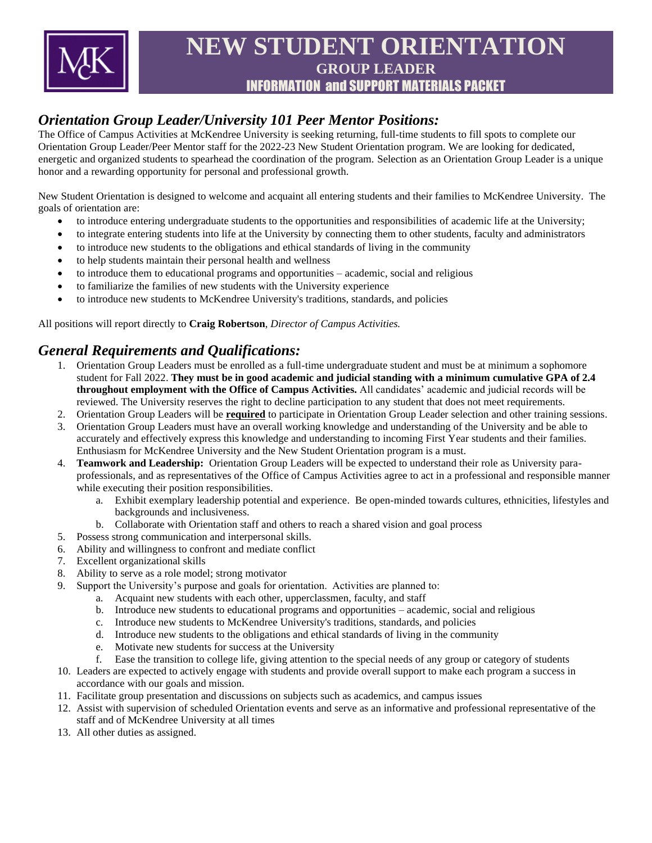

# **NEW STUDENT ORIENTATION GROUP LEADER** INFORMATION and SUPPORT MATERIALS PACKET

# *Orientation Group Leader/University 101 Peer Mentor Positions:*

The Office of Campus Activities at McKendree University is seeking returning, full-time students to fill spots to complete our Orientation Group Leader/Peer Mentor staff for the 2022-23 New Student Orientation program. We are looking for dedicated, energetic and organized students to spearhead the coordination of the program. Selection as an Orientation Group Leader is a unique honor and a rewarding opportunity for personal and professional growth.

New Student Orientation is designed to welcome and acquaint all entering students and their families to McKendree University. The goals of orientation are:

- to introduce entering undergraduate students to the opportunities and responsibilities of academic life at the University;
- to integrate entering students into life at the University by connecting them to other students, faculty and administrators
- to introduce new students to the obligations and ethical standards of living in the community
- to help students maintain their personal health and wellness
- to introduce them to educational programs and opportunities academic, social and religious
- to familiarize the families of new students with the University experience
- to introduce new students to McKendree University's traditions, standards, and policies

All positions will report directly to **Craig Robertson**, *Director of Campus Activities.* 

### *General Requirements and Qualifications:*

- 1. Orientation Group Leaders must be enrolled as a full-time undergraduate student and must be at minimum a sophomore student for Fall 2022. **They must be in good academic and judicial standing with a minimum cumulative GPA of 2.4 throughout employment with the Office of Campus Activities.** All candidates' academic and judicial records will be reviewed. The University reserves the right to decline participation to any student that does not meet requirements.
- 2. Orientation Group Leaders will be **required** to participate in Orientation Group Leader selection and other training sessions.
- 3. Orientation Group Leaders must have an overall working knowledge and understanding of the University and be able to accurately and effectively express this knowledge and understanding to incoming First Year students and their families. Enthusiasm for McKendree University and the New Student Orientation program is a must.
- 4. **Teamwork and Leadership:** Orientation Group Leaders will be expected to understand their role as University paraprofessionals, and as representatives of the Office of Campus Activities agree to act in a professional and responsible manner while executing their position responsibilities.
	- a. Exhibit exemplary leadership potential and experience. Be open-minded towards cultures, ethnicities, lifestyles and backgrounds and inclusiveness.
	- b. Collaborate with Orientation staff and others to reach a shared vision and goal process
- 5. Possess strong communication and interpersonal skills.
- 6. Ability and willingness to confront and mediate conflict
- 7. Excellent organizational skills
- 8. Ability to serve as a role model; strong motivator
- 9. Support the University's purpose and goals for orientation. Activities are planned to:
	- a. Acquaint new students with each other, upperclassmen, faculty, and staff
	- b. Introduce new students to educational programs and opportunities academic, social and religious
	- c. Introduce new students to McKendree University's traditions, standards, and policies
	- d. Introduce new students to the obligations and ethical standards of living in the community
	- e. Motivate new students for success at the University
	- f. Ease the transition to college life, giving attention to the special needs of any group or category of students
- 10. Leaders are expected to actively engage with students and provide overall support to make each program a success in accordance with our goals and mission.
- 11. Facilitate group presentation and discussions on subjects such as academics, and campus issues
- 12. Assist with supervision of scheduled Orientation events and serve as an informative and professional representative of the staff and of McKendree University at all times
- 13. All other duties as assigned.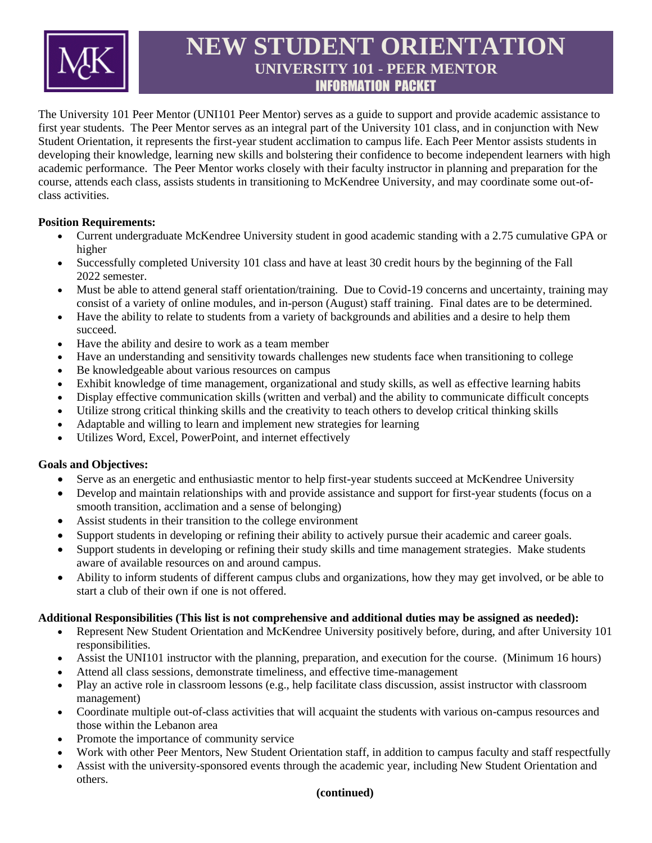

# **NEW STUDENT ORIENTATION UNIVERSITY 101 - PEER MENTOR** INFORMATION PACKET

The University 101 Peer Mentor (UNI101 Peer Mentor) serves as a guide to support and provide academic assistance to first year students. The Peer Mentor serves as an integral part of the University 101 class, and in conjunction with New Student Orientation, it represents the first-year student acclimation to campus life. Each Peer Mentor assists students in developing their knowledge, learning new skills and bolstering their confidence to become independent learners with high academic performance. The Peer Mentor works closely with their faculty instructor in planning and preparation for the course, attends each class, assists students in transitioning to McKendree University, and may coordinate some out-ofclass activities.

#### **Position Requirements:**

- Current undergraduate McKendree University student in good academic standing with a 2.75 cumulative GPA or higher
- Successfully completed University 101 class and have at least 30 credit hours by the beginning of the Fall 2022 semester.
- Must be able to attend general staff orientation/training. Due to Covid-19 concerns and uncertainty, training may consist of a variety of online modules, and in-person (August) staff training. Final dates are to be determined.
- Have the ability to relate to students from a variety of backgrounds and abilities and a desire to help them succeed.
- Have the ability and desire to work as a team member
- Have an understanding and sensitivity towards challenges new students face when transitioning to college
- Be knowledgeable about various resources on campus
- Exhibit knowledge of time management, organizational and study skills, as well as effective learning habits
- Display effective communication skills (written and verbal) and the ability to communicate difficult concepts
- Utilize strong critical thinking skills and the creativity to teach others to develop critical thinking skills
- Adaptable and willing to learn and implement new strategies for learning
- Utilizes Word, Excel, PowerPoint, and internet effectively

#### **Goals and Objectives:**

- Serve as an energetic and enthusiastic mentor to help first-year students succeed at McKendree University
- Develop and maintain relationships with and provide assistance and support for first-year students (focus on a smooth transition, acclimation and a sense of belonging)
- Assist students in their transition to the college environment
- Support students in developing or refining their ability to actively pursue their academic and career goals.
- Support students in developing or refining their study skills and time management strategies. Make students aware of available resources on and around campus.
- Ability to inform students of different campus clubs and organizations, how they may get involved, or be able to start a club of their own if one is not offered.

#### **Additional Responsibilities (This list is not comprehensive and additional duties may be assigned as needed):**

- Represent New Student Orientation and McKendree University positively before, during, and after University 101 responsibilities.
- Assist the UNI101 instructor with the planning, preparation, and execution for the course. (Minimum 16 hours)
- Attend all class sessions, demonstrate timeliness, and effective time-management
- Play an active role in classroom lessons (e.g., help facilitate class discussion, assist instructor with classroom management)
- Coordinate multiple out-of-class activities that will acquaint the students with various on-campus resources and those within the Lebanon area
- Promote the importance of community service
- Work with other Peer Mentors, New Student Orientation staff, in addition to campus faculty and staff respectfully
- Assist with the university-sponsored events through the academic year, including New Student Orientation and others.

#### **(continued)**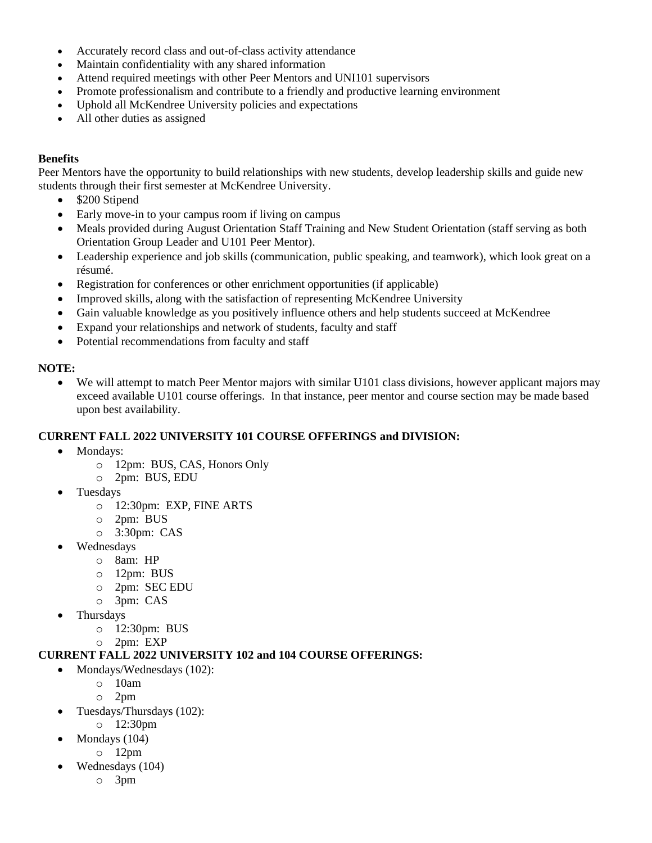- Accurately record class and out-of-class activity attendance
- Maintain confidentiality with any shared information
- Attend required meetings with other Peer Mentors and UNI101 supervisors
- Promote professionalism and contribute to a friendly and productive learning environment
- Uphold all McKendree University policies and expectations
- All other duties as assigned

#### **Benefits**

Peer Mentors have the opportunity to build relationships with new students, develop leadership skills and guide new students through their first semester at McKendree University.

- \$200 Stipend
- Early move-in to your campus room if living on campus
- Meals provided during August Orientation Staff Training and New Student Orientation (staff serving as both Orientation Group Leader and U101 Peer Mentor).
- Leadership experience and job skills (communication, public speaking, and teamwork), which look great on a résumé.
- Registration for conferences or other enrichment opportunities (if applicable)
- Improved skills, along with the satisfaction of representing McKendree University
- Gain valuable knowledge as you positively influence others and help students succeed at McKendree
- Expand your relationships and network of students, faculty and staff
- Potential recommendations from faculty and staff

#### **NOTE:**

• We will attempt to match Peer Mentor majors with similar U101 class divisions, however applicant majors may exceed available U101 course offerings. In that instance, peer mentor and course section may be made based upon best availability.

#### **CURRENT FALL 2022 UNIVERSITY 101 COURSE OFFERINGS and DIVISION:**

- Mondays:
	- o 12pm: BUS, CAS, Honors Only
	- o 2pm: BUS, EDU
- Tuesdays
	- o 12:30pm: EXP, FINE ARTS
	- o 2pm: BUS
	- o 3:30pm: CAS
- Wednesdays
	- o 8am: HP
	- o 12pm: BUS
	- o 2pm: SEC EDU
	- o 3pm: CAS
- **Thursdays** 
	- o 12:30pm: BUS
	- o 2pm: EXP

#### **CURRENT FALL 2022 UNIVERSITY 102 and 104 COURSE OFFERINGS:**

- Mondays/Wednesdays (102):
	- o 10am
	- o 2pm
- Tuesdays/Thursdays (102):
	- o 12:30pm
- Mondays (104)
	- o 12pm
- Wednesdays (104)
	- o 3pm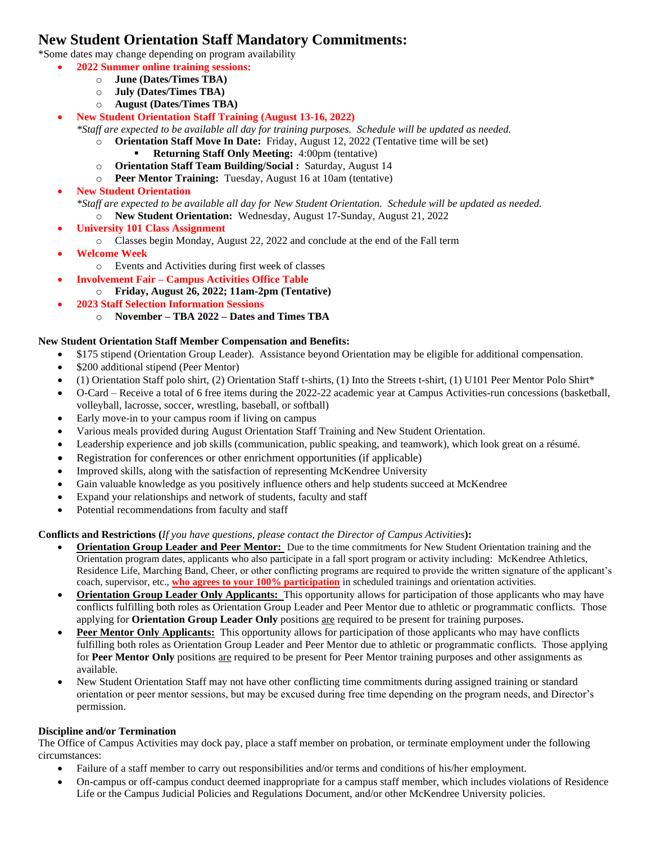## **New Student Orientation Staff Mandatory Commitments:**

\*Some dates may change depending on program availability

- **2022 Summer online training sessions:**
	- o **June (Dates/Times TBA)**
	- o **July (Dates/Times TBA)**
	- o **August (Dates/Times TBA)**

#### • **New Student Orientation Staff Training (August 13-16, 2022)**

*\*Staff are expected to be available all day for training purposes. Schedule will be updated as needed.*

- o **Orientation Staff Move In Date:** Friday, August 12, 2022 (Tentative time will be set) **Returning Staff Only Meeting: 4:00pm (tentative)**
- o **Orientation Staff Team Building/Social :** Saturday, August 14
- o **Peer Mentor Training:** Tuesday, August 16 at 10am (tentative)
- **New Student Orientation** *\*Staff are expected to be available all day for New Student Orientation. Schedule will be updated as needed.* o **New Student Orientation:** Wednesday, August 17-Sunday, August 21, 2022
- **University 101 Class Assignment**
	- o Classes begin Monday, August 22, 2022 and conclude at the end of the Fall term
- **Welcome Week**
	- o Events and Activities during first week of classes
- **Involvement Fair – Campus Activities Office Table**
	- o **Friday, August 26, 2022; 11am-2pm (Tentative)**
- **2023 Staff Selection Information Sessions**
	- o **November – TBA 2022 – Dates and Times TBA**

#### **New Student Orientation Staff Member Compensation and Benefits:**

- \$175 stipend (Orientation Group Leader). Assistance beyond Orientation may be eligible for additional compensation.
- \$200 additional stipend (Peer Mentor)
- (1) Orientation Staff polo shirt, (2) Orientation Staff t-shirts, (1) Into the Streets t-shirt, (1) U101 Peer Mentor Polo Shirt\*
- O-Card Receive a total of 6 free items during the 2022-22 academic year at Campus Activities-run concessions (basketball, volleyball, lacrosse, soccer, wrestling, baseball, or softball)
- Early move-in to your campus room if living on campus
- Various meals provided during August Orientation Staff Training and New Student Orientation.
- Leadership experience and job skills (communication, public speaking, and teamwork), which look great on a résumé.
- Registration for conferences or other enrichment opportunities (if applicable)
- Improved skills, along with the satisfaction of representing McKendree University
- Gain valuable knowledge as you positively influence others and help students succeed at McKendree
- Expand your relationships and network of students, faculty and staff
- Potential recommendations from faculty and staff

#### **Conflicts and Restrictions (***If you have questions, please contact the Director of Campus Activities***):**

- **Orientation Group Leader and Peer Mentor:** Due to the time commitments for New Student Orientation training and the Orientation program dates, applicants who also participate in a fall sport program or activity including: McKendree Athletics, Residence Life, Marching Band, Cheer, or other conflicting programs are required to provide the written signature of the applicant's coach, supervisor, etc., **who agrees to your 100% participation** in scheduled trainings and orientation activities.
- **Orientation Group Leader Only Applicants:** This opportunity allows for participation of those applicants who may have conflicts fulfilling both roles as Orientation Group Leader and Peer Mentor due to athletic or programmatic conflicts. Those applying for **Orientation Group Leader Only** positions are required to be present for training purposes.
- **Peer Mentor Only Applicants:** This opportunity allows for participation of those applicants who may have conflicts fulfilling both roles as Orientation Group Leader and Peer Mentor due to athletic or programmatic conflicts. Those applying for **Peer Mentor Only** positions are required to be present for Peer Mentor training purposes and other assignments as available.
- New Student Orientation Staff may not have other conflicting time commitments during assigned training or standard orientation or peer mentor sessions, but may be excused during free time depending on the program needs, and Director's permission.

#### **Discipline and/or Termination**

The Office of Campus Activities may dock pay, place a staff member on probation, or terminate employment under the following circumstances:

- Failure of a staff member to carry out responsibilities and/or terms and conditions of his/her employment.
- On-campus or off-campus conduct deemed inappropriate for a campus staff member, which includes violations of Residence Life or the Campus Judicial Policies and Regulations Document, and/or other McKendree University policies.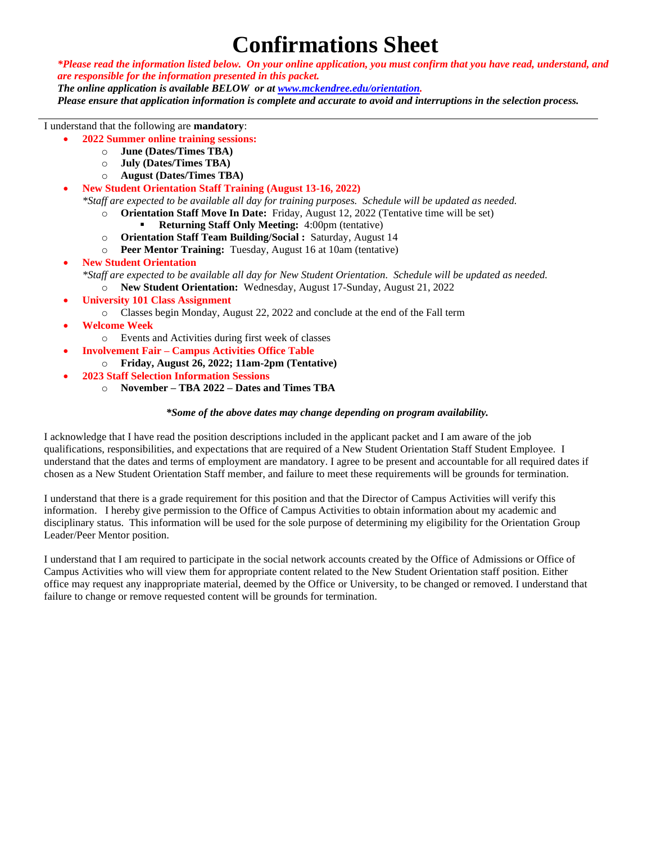# **Confirmations Sheet**

*\*Please read the information listed below. On your online application, you must confirm that you have read, understand, and are responsible for the information presented in this packet.* 

*The online application is available BELOW or at [www.mckendree.edu/orientation.](http://www.mckendree.edu/orientation)* 

*Please ensure that application information is complete and accurate to avoid and interruptions in the selection process.* 

I understand that the following are **mandatory**:

- **2022 Summer online training sessions:**
	- o **June (Dates/Times TBA)**
	- o **July (Dates/Times TBA)**
	- o **August (Dates/Times TBA)**
- **New Student Orientation Staff Training (August 13-16, 2022)**

*\*Staff are expected to be available all day for training purposes. Schedule will be updated as needed.*

- o **Orientation Staff Move In Date:** Friday, August 12, 2022 (Tentative time will be set)
	- **Returning Staff Only Meeting: 4:00pm (tentative)**
- o **Orientation Staff Team Building/Social :** Saturday, August 14
- o **Peer Mentor Training:** Tuesday, August 16 at 10am (tentative)

#### • **New Student Orientation**

*\*Staff are expected to be available all day for New Student Orientation. Schedule will be updated as needed.*

- o **New Student Orientation:** Wednesday, August 17-Sunday, August 21, 2022
- **University 101 Class Assignment**
	- o Classes begin Monday, August 22, 2022 and conclude at the end of the Fall term
- **Welcome Week**
	- o Events and Activities during first week of classes
- **Involvement Fair – Campus Activities Office Table**
	- o **Friday, August 26, 2022; 11am-2pm (Tentative)**
- **2023 Staff Selection Information Sessions**
	- o **November – TBA 2022 – Dates and Times TBA**

#### *\*Some of the above dates may change depending on program availability.*

I acknowledge that I have read the position descriptions included in the applicant packet and I am aware of the job qualifications, responsibilities, and expectations that are required of a New Student Orientation Staff Student Employee. I understand that the dates and terms of employment are mandatory. I agree to be present and accountable for all required dates if chosen as a New Student Orientation Staff member, and failure to meet these requirements will be grounds for termination.

I understand that there is a grade requirement for this position and that the Director of Campus Activities will verify this information. I hereby give permission to the Office of Campus Activities to obtain information about my academic and disciplinary status. This information will be used for the sole purpose of determining my eligibility for the Orientation Group Leader/Peer Mentor position.

I understand that I am required to participate in the social network accounts created by the Office of Admissions or Office of Campus Activities who will view them for appropriate content related to the New Student Orientation staff position. Either office may request any inappropriate material, deemed by the Office or University, to be changed or removed. I understand that failure to change or remove requested content will be grounds for termination.